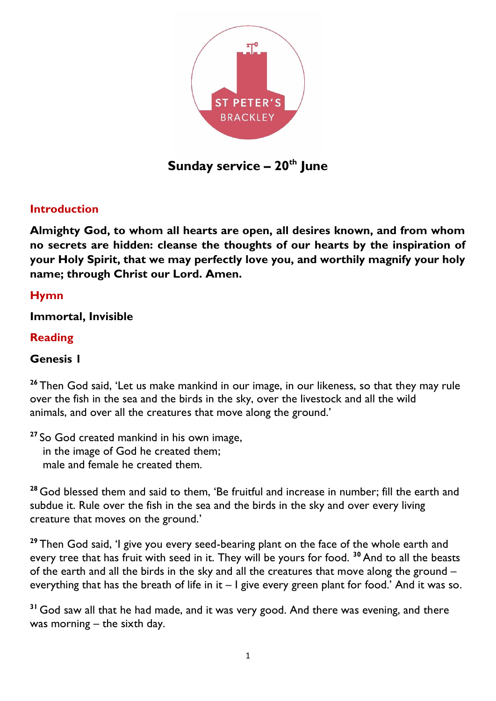

**Sunday service – 20th June**

### **Introduction**

**Almighty God, to whom all hearts are open, all desires known, and from whom no secrets are hidden: cleanse the thoughts of our hearts by the inspiration of your Holy Spirit, that we may perfectly love you, and worthily magnify your holy name; through Christ our Lord. Amen.**

### **Hymn**

**Immortal, Invisible**

#### **Reading**

#### **Genesis 1**

**<sup>26</sup>** Then God said, 'Let us make mankind in our image, in our likeness, so that they may rule over the fish in the sea and the birds in the sky, over the livestock and all the wild animals, and over all the creatures that move along the ground.'

**<sup>27</sup>** So God created mankind in his own image, in the image of God he created them; male and female he created them.

**<sup>28</sup>** God blessed them and said to them, 'Be fruitful and increase in number; fill the earth and subdue it. Rule over the fish in the sea and the birds in the sky and over every living creature that moves on the ground.'

**<sup>29</sup>** Then God said, 'I give you every seed-bearing plant on the face of the whole earth and every tree that has fruit with seed in it. They will be yours for food. **<sup>30</sup>** And to all the beasts of the earth and all the birds in the sky and all the creatures that move along the ground – everything that has the breath of life in it – I give every green plant for food.' And it was so.

**<sup>31</sup>** God saw all that he had made, and it was very good. And there was evening, and there was morning – the sixth day.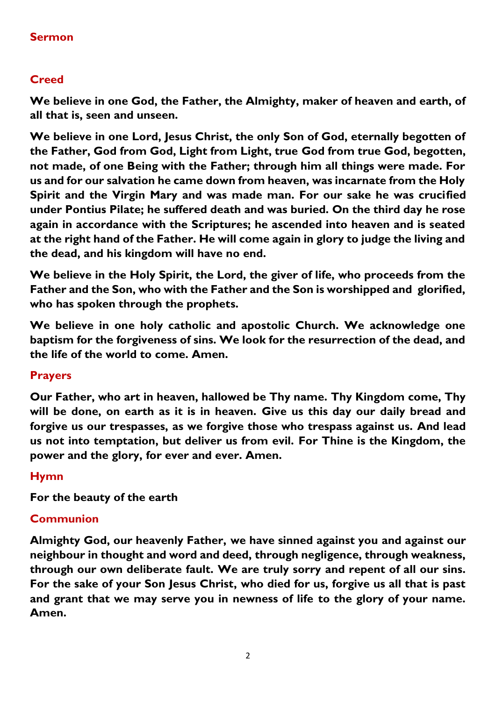## **Sermon**

# **Creed**

**We believe in one God, the Father, the Almighty, maker of heaven and earth, of all that is, seen and unseen.** 

**We believe in one Lord, Jesus Christ, the only Son of God, eternally begotten of the Father, God from God, Light from Light, true God from true God, begotten, not made, of one Being with the Father; through him all things were made. For us and for our salvation he came down from heaven, was incarnate from the Holy Spirit and the Virgin Mary and was made man. For our sake he was crucified under Pontius Pilate; he suffered death and was buried. On the third day he rose again in accordance with the Scriptures; he ascended into heaven and is seated at the right hand of the Father. He will come again in glory to judge the living and the dead, and his kingdom will have no end.**

**We believe in the Holy Spirit, the Lord, the giver of life, who proceeds from the Father and the Son, who with the Father and the Son is worshipped and glorified, who has spoken through the prophets.** 

**We believe in one holy catholic and apostolic Church. We acknowledge one baptism for the forgiveness of sins. We look for the resurrection of the dead, and the life of the world to come. Amen.**

### **Prayers**

**Our Father, who art in heaven, hallowed be Thy name. Thy Kingdom come, Thy will be done, on earth as it is in heaven. Give us this day our daily bread and forgive us our trespasses, as we forgive those who trespass against us. And lead us not into temptation, but deliver us from evil. For Thine is the Kingdom, the power and the glory, for ever and ever. Amen.**

### **Hymn**

**For the beauty of the earth**

### **Communion**

**Almighty God, our heavenly Father, we have sinned against you and against our neighbour in thought and word and deed, through negligence, through weakness, through our own deliberate fault. We are truly sorry and repent of all our sins. For the sake of your Son Jesus Christ, who died for us, forgive us all that is past and grant that we may serve you in newness of life to the glory of your name. Amen.**